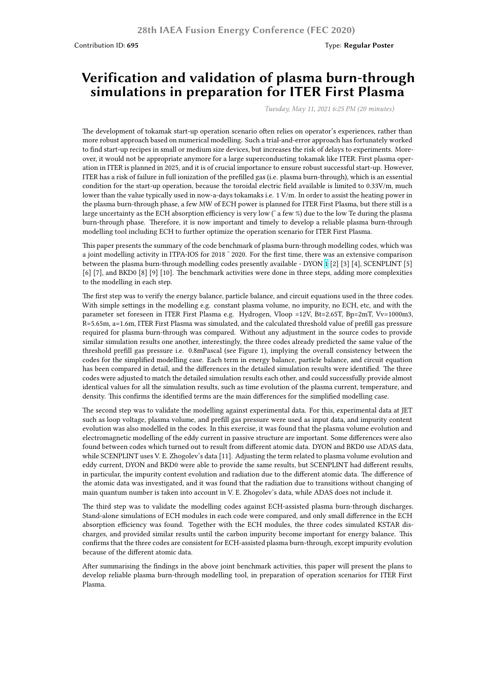## **Verification and validation of plasma burn-through simulations in preparation for ITER First Plasma**

*Tuesday, May 11, 2021 6:25 PM (20 minutes)*

The development of tokamak start-up operation scenario often relies on operator's experiences, rather than more robust approach based on numerical modelling. Such a trial-and-error approach has fortunately worked to find start-up recipes in small or medium size devices, but increases the risk of delays to experiments. Moreover, it would not be appropriate anymore for a large superconducting tokamak like ITER. First plasma operation in ITER is planned in 2025, and it is of crucial importance to ensure robust successful start-up. However, ITER has a risk of failure in full ionization of the prefilled gas (i.e. plasma burn-through), which is an essential condition for the start-up operation, because the toroidal electric field available is limited to 0.33V/m, much lower than the value typically used in now-a-days tokamaks i.e. 1 V/m. In order to assist the heating power in the plasma burn-through phase, a few MW of ECH power is planned for ITER First Plasma, but there still is a large uncertainty as the ECH absorption efficiency is very low (˜ a few %) due to the low Te during the plasma burn-through phase. Therefore, it is now important and timely to develop a reliable plasma burn-through modelling tool including ECH to further optimize the operation scenario for ITER First Plasma.

This paper presents the summary of the code benchmark of plasma burn-through modelling codes, which was a joint modelling activity in ITPA-IOS for 2018 ˜ 2020. For the first time, there was an extensive comparison between the plasma burn-through modelling codes presently available - DYON 1 [2] [3] [4], SCENPLINT [5] [6] [7], and BKD0 [8] [9] [10]. The benchmark activities were done in three steps, adding more complexities to the modelling in each step.

The first step was to verify the energy balance, particle balance, and circuit equations used in the three codes. With simple settings in the modelling e.g. constant plasma volume, no impurit[y](https://nucleus.iaea.org/sites/fusionportal/Shared%20Documents/FEC%202020%20Images/695/DYON_2020FEC_Synopsis.jpg), no ECH, etc, and with the parameter set foreseen in ITER First Plasma e.g. Hydrogen, Vloop =12V, Bt=2.65T, Bp=2mT, Vv=1000m3, R=5.65m, a=1.6m, ITER First Plasma was simulated, and the calculated threshold value of prefill gas pressure required for plasma burn-through was compared. Without any adjustment in the source codes to provide similar simulation results one another, interestingly, the three codes already predicted the same value of the threshold prefill gas pressure i.e. 0.8mPascal (see Figure 1), implying the overall consistency between the codes for the simplified modelling case. Each term in energy balance, particle balance, and circuit equation has been compared in detail, and the differences in the detailed simulation results were identified. The three codes were adjusted to match the detailed simulation results each other, and could successfully provide almost identical values for all the simulation results, such as time evolution of the plasma current, temperature, and density. This confirms the identified terms are the main differences for the simplified modelling case.

The second step was to validate the modelling against experimental data. For this, experimental data at JET such as loop voltage, plasma volume, and prefill gas pressure were used as input data, and impurity content evolution was also modelled in the codes. In this exercise, it was found that the plasma volume evolution and electromagnetic modelling of the eddy current in passive structure are important. Some differences were also found between codes which turned out to result from different atomic data. DYON and BKD0 use ADAS data, while SCENPLINT uses V. E. Zhogolev's data [11]. Adjusting the term related to plasma volume evolution and eddy current, DYON and BKD0 were able to provide the same results, but SCENPLINT had different results, in particular, the impurity content evolution and radiation due to the different atomic data. The difference of the atomic data was investigated, and it was found that the radiation due to transitions without changing of main quantum number is taken into account in V. E. Zhogolev's data, while ADAS does not include it.

The third step was to validate the modelling codes against ECH-assisted plasma burn-through discharges. Stand-alone simulations of ECH modules in each code were compared, and only small difference in the ECH absorption efficiency was found. Together with the ECH modules, the three codes simulated KSTAR discharges, and provided similar results until the carbon impurity become important for energy balance. This confirms that the three codes are consistent for ECH-assisted plasma burn-through, except impurity evolution because of the different atomic data.

After summarising the findings in the above joint benchmark activities, this paper will present the plans to develop reliable plasma burn-through modelling tool, in preparation of operation scenarios for ITER First Plasma.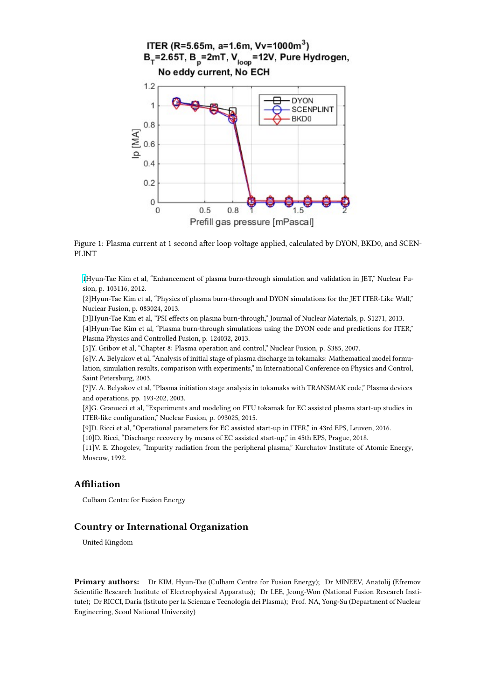

Figure 1: Plasma current at 1 second after loop voltage applied, calculated by DYON, BKD0, and SCEN-PLINT

1Hyun-Tae Kim et al, "Enhancement of plasma burn-through simulation and validation in JET," Nuclear Fusion, p. 103116, 2012.

[2]Hyun-Tae Kim et al, "Physics of plasma burn-through and DYON simulations for the JET ITER-Like Wall," Nuclear Fusion, p. 083024, 2013.

[\[3](https://nucleus.iaea.org/sites/fusionportal/Shared%20Documents/FEC%202020%20Images/695/DYON_2020FEC_Synopsis.jpg)]Hyun-Tae Kim et al, "PSI effects on plasma burn-through," Journal of Nuclear Materials, p. S1271, 2013. [4]Hyun-Tae Kim et al, "Plasma burn-through simulations using the DYON code and predictions for ITER," Plasma Physics and Controlled Fusion, p. 124032, 2013.

[5]Y. Gribov et al, "Chapter 8: Plasma operation and control," Nuclear Fusion, p. S385, 2007.

[6]V. A. Belyakov et al, "Analysis of initial stage of plasma discharge in tokamaks: Mathematical model formulation, simulation results, comparison with experiments," in International Conference on Physics and Control, Saint Petersburg, 2003.

[7]V. A. Belyakov et al, "Plasma initiation stage analysis in tokamaks with TRANSMAK code," Plasma devices and operations, pp. 193-202, 2003.

[8]G. Granucci et al, "Experiments and modeling on FTU tokamak for EC assisted plasma start-up studies in ITER-like configuration," Nuclear Fusion, p. 093025, 2015.

[9]D. Ricci et al, "Operational parameters for EC assisted start-up in ITER," in 43rd EPS, Leuven, 2016.

[10]D. Ricci, "Discharge recovery by means of EC assisted start-up," in 45th EPS, Prague, 2018.

[11]V. E. Zhogolev, "Impurity radiation from the peripheral plasma," Kurchatov Institute of Atomic Energy, Moscow, 1992.

## **Affiliation**

Culham Centre for Fusion Energy

## **Country or International Organization**

United Kingdom

**Primary authors:** Dr KIM, Hyun-Tae (Culham Centre for Fusion Energy); Dr MINEEV, Anatolij (Efremov Scientific Research Institute of Electrophysical Apparatus); Dr LEE, Jeong-Won (National Fusion Research Institute); Dr RICCI, Daria (Istituto per la Scienza e Tecnologia dei Plasma); Prof. NA, Yong-Su (Department of Nuclear Engineering, Seoul National University)